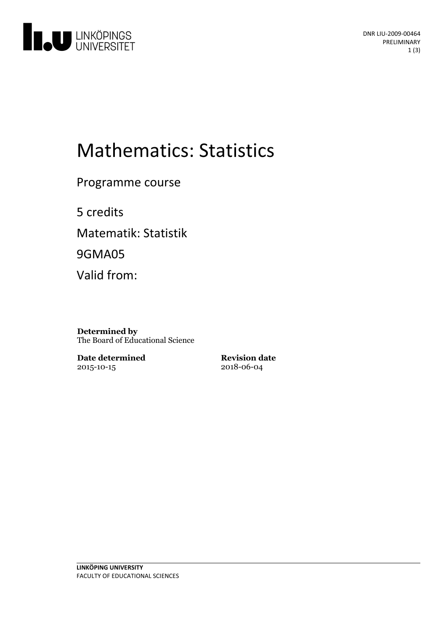

# Mathematics: Statistics

Programme course

5 credits Matematik: Statistik 9GMA05

Valid from:

**Determined by** The Board of Educational Science

**Date determined** 2015-10-15

**Revision date** 2018-06-04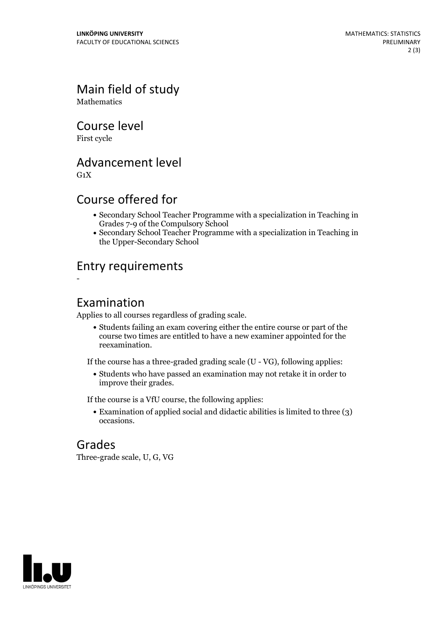Main field of study Mathematics

Course level

First cycle

Advancement level

 $G_1X$ 

-

## Course offered for

- Secondary School Teacher Programme with a specialization in Teaching in Grades 7-9 of the Compulsory School
- Secondary School Teacher Programme with a specialization in Teaching in the Upper-Secondary School

## Entry requirements

#### Examination

Applies to all courses regardless of grading scale.

Students failing an exam covering either the entire course or part of the course two times are entitled to have a new examiner appointed for the reexamination.

If the course has a three-graded grading scale (U - VG), following applies:

Students who have passed an examination may not retake it in order to improve their grades.

If the course is a VfU course, the following applies:

Examination of applied social and didactic abilities is limited to three (3) occasions.

## Grades

Three-grade scale, U, G, VG